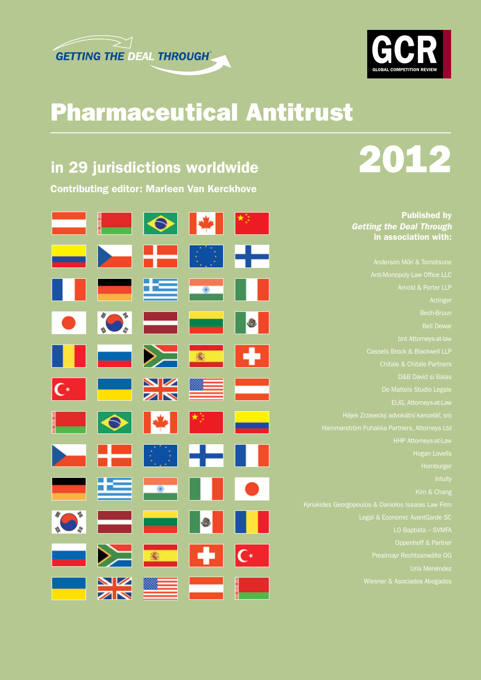



## Pharmaceutical Antitrust

## in 29 jurisdictions worldwide

Contributing editor: Marleen Van Kerckhove

| ═                        | <u> Maria</u>            | $\bullet$                |                     | $\star_{\mathbb{P}_\mathbb{Z}}$     |
|--------------------------|--------------------------|--------------------------|---------------------|-------------------------------------|
|                          | 2                        | --                       |                     | ┿                                   |
|                          | - 1                      | ≃                        | $\bullet$           | w                                   |
|                          | <b>AD</b>                | a a shekarar<br>Matsayan | $\equiv$            | <b>B</b>                            |
| ۰                        | $\overline{\phantom{a}}$ | $\geqslant$              | 第二                  | H.                                  |
| $\mathsf{C}^*$           | a ang                    | $\frac{\Delta}{\Delta}$  |                     | ÷                                   |
| t<br>Linda               | $\bullet$                | $\blacktriangleright$    | 楔                   | an di Kabupatén<br>Kabupatèn Sulawa |
| $\overline{\phantom{a}}$ | ┶                        | KB.                      | ▅╉═                 | M.                                  |
|                          | ╩                        | $\bullet$                | ٠                   | $\bullet$                           |
|                          | e e della                | <u>e a s</u>             |                     |                                     |
| للمستحدث                 | $\geq$                   | 家                        | Ø                   | $\overline{C}$                      |
|                          | XK<br>XK                 |                          | anasan<br>Manazarta | i i                                 |

# 2012

### Published by *Getting the Deal Through* in association with:

bnt Attorneys-at-law Cassels Brock & Blackwell LLP LO Baptista – SVMFA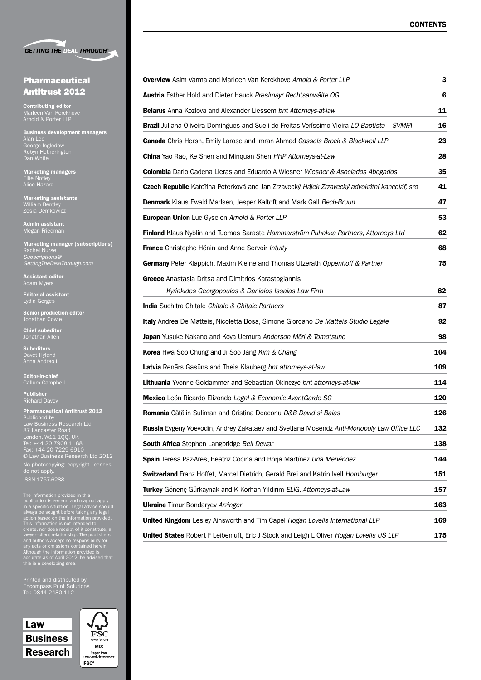

#### Pharmaceutical Antitrust 2012

Contributing editor Marleen Van Kerckhove Arnold & Porter LLP

Business development managers Alan Lee George Ingledew Robyn Hetherington Dan White

Marketing managers Ellie Notley Alice Hazard

Marketing assistants William Bentley

Admin assistant Megan Friedman

Marketing manager (subscriptions) Rachel Nurse *Subscriptions@ GettingTheDealThrough.com*

Assistant editor Adam Myers

Editorial assistant Lydia Gerges

Senior production editor Jonathan Cowie

Chief subeditor Jonathan Allen

Subeditors Davet Hyland Anna Andreoli

Editor-in-chief Callum Campbell

Publisher Richard Davey

| <b>Pharmaceutical Antitrust 2012</b><br>Published by |
|------------------------------------------------------|
| Law Business Research Ltd                            |
| 87 Lancaster Road                                    |
| London, W11 100, UK<br>Tel: +44 20 7908 1188         |
| Fax: +44 20 7229 6910                                |
| © Law Business Research Ltd 2012                     |
| No photocopying: copyright licences<br>do not apply. |
| <b>ISSN 1757-6288</b>                                |

The information provided in this<br>publication is general and may not apply<br>in a specific situation. Legal advice should<br>always be sought before taking any legal<br>action based on the information provided.<br>This information is

Printed and distributed by Tel: 0844 2480 112

Law Business Research



| <b>Overview</b> Asim Varma and Marleen Van Kerckhove Arnold & Porter LLP                                    | 3   |  |
|-------------------------------------------------------------------------------------------------------------|-----|--|
| Austria Esther Hold and Dieter Hauck Preslmayr Rechtsanwälte OG                                             | 6   |  |
| <b>Belarus</b> Anna Kozlova and Alexander Liessem bnt Attorneys-at-law                                      | 11  |  |
| <b>Brazil</b> Juliana Oliveira Domingues and Sueli de Freitas Veríssimo Vieira LO Baptista - SVMFA          | 16  |  |
| <b>Canada</b> Chris Hersh, Emily Larose and Imran Ahmad Cassels Brock & Blackwell LLP                       | 23  |  |
| <b>China</b> Yao Rao, Ke Shen and Minguan Shen HHP Attorneys-at-Law                                         | 28  |  |
| Colombia Dario Cadena Lleras and Eduardo A Wiesner Wiesner & Asociados Abogados                             | 35  |  |
| Czech Republic Kateřina Peterková and Jan Zrzavecký Hájek Zrzavecký advokátní kancelář, sro                 | 41  |  |
| <b>Denmark</b> Klaus Ewald Madsen, Jesper Kaltoft and Mark Gall Bech-Bruun                                  | 47  |  |
| European Union Luc Gyselen Arnold & Porter LLP                                                              | 53  |  |
| Finland Klaus Nyblin and Tuomas Saraste Hammarström Puhakka Partners, Attorneys Ltd                         | 62  |  |
| <b>France</b> Christophe Hénin and Anne Servoir Intuity                                                     | 68  |  |
| <b>Germany</b> Peter Klappich, Maxim Kleine and Thomas Utzerath Oppenhoff & Partner                         | 75  |  |
| Greece Anastasia Dritsa and Dimitrios Karastogiannis<br>Kyriakides Georgopoulos & Daniolos Issaias Law Firm | 82  |  |
| <b>India</b> Suchitra Chitale Chitale & Chitale Partners                                                    | 87  |  |
| Italy Andrea De Matteis, Nicoletta Bosa, Simone Giordano De Matteis Studio Legale                           | 92  |  |
| <b>Japan</b> Yusuke Nakano and Koya Uemura Anderson Mori & Tomotsune                                        | 98  |  |
| <b>Korea</b> Hwa Soo Chung and Ji Soo Jang Kim & Chang                                                      | 104 |  |
| Latvia Renārs Gasūns and Theis Klauberg bnt attorneys-at-law                                                | 109 |  |
| <b>Lithuania</b> Yvonne Goldammer and Sebastian Okinczyc bnt attorneys-at-law                               | 114 |  |
| Mexico León Ricardo Elizondo Legal & Economic AvantGarde SC                                                 | 120 |  |
| <b>Romania</b> Cătălin Suliman and Cristina Deaconu D&B David si Baias                                      | 126 |  |
| Russia Evgeny Voevodin, Andrey Zakataev and Svetlana Mosendz Anti-Monopoly Law Office LLC                   | 132 |  |
| South Africa Stephen Langbridge Bell Dewar                                                                  | 138 |  |
| Spain Teresa Paz-Ares, Beatriz Cocina and Borja Martínez Uría Menéndez                                      | 144 |  |
| Switzerland Franz Hoffet, Marcel Dietrich, Gerald Brei and Katrin Ivell Homburger                           | 151 |  |
| Turkey Gönenç Gürkaynak and K Korhan Yıldırım ELIG, Attorneys-at-Law                                        | 157 |  |
| <b>Ukraine</b> Timur Bondaryev Arzinger                                                                     |     |  |
| United Kingdom Lesley Ainsworth and Tim Capel Hogan Lovells International LLP                               | 169 |  |
| United States Robert F Leibenluft, Eric J Stock and Leigh L Oliver Hogan Lovells US LLP                     | 175 |  |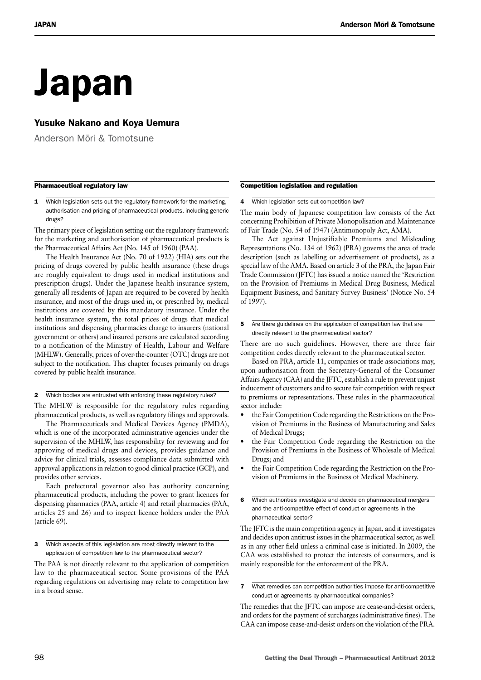## Japan

### Yusuke Nakano and Koya Uemura

Anderson Mori & Tomotsune

#### Pharmaceutical regulatory law

1 Which legislation sets out the regulatory framework for the marketing, authorisation and pricing of pharmaceutical products, including generic drugs?

The primary piece of legislation setting out the regulatory framework for the marketing and authorisation of pharmaceutical products is the Pharmaceutical Affairs Act (No. 145 of 1960) (PAA).

The Health Insurance Act (No. 70 of 1922) (HIA) sets out the pricing of drugs covered by public health insurance (these drugs are roughly equivalent to drugs used in medical institutions and prescription drugs). Under the Japanese health insurance system, generally all residents of Japan are required to be covered by health insurance, and most of the drugs used in, or prescribed by, medical institutions are covered by this mandatory insurance. Under the health insurance system, the total prices of drugs that medical institutions and dispensing pharmacies charge to insurers (national government or others) and insured persons are calculated according to a notification of the Ministry of Health, Labour and Welfare (MHLW). Generally, prices of over-the-counter (OTC) drugs are not subject to the notification. This chapter focuses primarily on drugs covered by public health insurance.

2 Which bodies are entrusted with enforcing these regulatory rules?

The MHLW is responsible for the regulatory rules regarding pharmaceutical products, as well as regulatory filings and approvals.

The Pharmaceuticals and Medical Devices Agency (PMDA), which is one of the incorporated administrative agencies under the supervision of the MHLW, has responsibility for reviewing and for approving of medical drugs and devices, provides guidance and advice for clinical trials, assesses compliance data submitted with approval applications in relation to good clinical practice (GCP), and provides other services.

Each prefectural governor also has authority concerning pharmaceutical products, including the power to grant licences for dispensing pharmacies (PAA, article 4) and retail pharmacies (PAA, articles 25 and 26) and to inspect licence holders under the PAA (article 69).

3 Which aspects of this legislation are most directly relevant to the application of competition law to the pharmaceutical sector?

The PAA is not directly relevant to the application of competition law to the pharmaceutical sector. Some provisions of the PAA regarding regulations on advertising may relate to competition law in a broad sense.

#### Competition legislation and regulation

4 Which legislation sets out competition law?

The main body of Japanese competition law consists of the Act concerning Prohibition of Private Monopolisation and Maintenance of Fair Trade (No. 54 of 1947) (Antimonopoly Act, AMA).

The Act against Unjustifiable Premiums and Misleading Representations (No. 134 of 1962) (PRA) governs the area of trade description (such as labelling or advertisement of products), as a special law of the AMA. Based on article 3 of the PRA, the Japan Fair Trade Commission (JFTC) has issued a notice named the 'Restriction on the Provision of Premiums in Medical Drug Business, Medical Equipment Business, and Sanitary Survey Business' (Notice No. 54 of 1997).

There are no such guidelines. However, there are three fair competition codes directly relevant to the pharmaceutical sector.

Based on PRA, article 11, companies or trade associations may, upon authorisation from the Secretary-General of the Consumer Affairs Agency (CAA) and the JFTC, establish a rule to prevent unjust inducement of customers and to secure fair competition with respect to premiums or representations. These rules in the pharmaceutical sector include:

- the Fair Competition Code regarding the Restrictions on the Provision of Premiums in the Business of Manufacturing and Sales of Medical Drugs;
- the Fair Competition Code regarding the Restriction on the Provision of Premiums in the Business of Wholesale of Medical Drugs; and
- the Fair Competition Code regarding the Restriction on the Provision of Premiums in the Business of Medical Machinery.

6 Which authorities investigate and decide on pharmaceutical mergers and the anti-competitive effect of conduct or agreements in the pharmaceutical sector?

The JFTC is the main competition agency in Japan, and it investigates and decides upon antitrust issues in the pharmaceutical sector, as well as in any other field unless a criminal case is initiated. In 2009, the CAA was established to protect the interests of consumers, and is mainly responsible for the enforcement of the PRA.

7 What remedies can competition authorities impose for anti-competitive conduct or agreements by pharmaceutical companies?

The remedies that the JFTC can impose are cease-and-desist orders, and orders for the payment of surcharges (administrative fines). The CAA can impose cease-and-desist orders on the violation of the PRA.

<sup>5</sup> Are there guidelines on the application of competition law that are directly relevant to the pharmaceutical sector?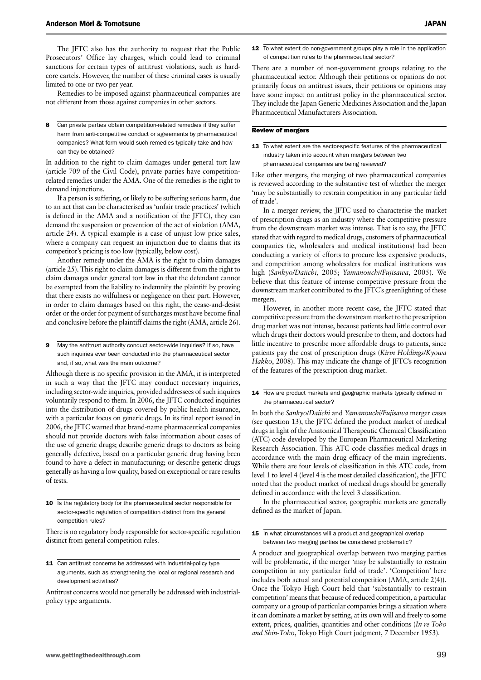The JFTC also has the authority to request that the Public Prosecutors' Office lay charges, which could lead to criminal sanctions for certain types of antitrust violations, such as hardcore cartels. However, the number of these criminal cases is usually limited to one or two per year.

Remedies to be imposed against pharmaceutical companies are not different from those against companies in other sectors.

8 Can private parties obtain competition-related remedies if they suffer harm from anti-competitive conduct or agreements by pharmaceutical companies? What form would such remedies typically take and how can they be obtained?

In addition to the right to claim damages under general tort law (article 709 of the Civil Code), private parties have competitionrelated remedies under the AMA. One of the remedies is the right to demand injunctions.

If a person is suffering, or likely to be suffering serious harm, due to an act that can be characterised as 'unfair trade practices' (which is defined in the AMA and a notification of the JFTC), they can demand the suspension or prevention of the act of violation (AMA, article 24). A typical example is a case of unjust low price sales, where a company can request an injunction due to claims that its competitor's pricing is too low (typically, below cost).

Another remedy under the AMA is the right to claim damages (article 25). This right to claim damages is different from the right to claim damages under general tort law in that the defendant cannot be exempted from the liability to indemnify the plaintiff by proving that there exists no wilfulness or negligence on their part. However, in order to claim damages based on this right, the cease-and-desist order or the order for payment of surcharges must have become final and conclusive before the plaintiff claims the right (AMA, article 26).

9 May the antitrust authority conduct sector-wide inquiries? If so, have such inquiries ever been conducted into the pharmaceutical sector and, if so, what was the main outcome?

Although there is no specific provision in the AMA, it is interpreted in such a way that the JFTC may conduct necessary inquiries, including sector-wide inquiries, provided addressees of such inquires voluntarily respond to them. In 2006, the JFTC conducted inquiries into the distribution of drugs covered by public health insurance, with a particular focus on generic drugs. In its final report issued in 2006, the JFTC warned that brand-name pharmaceutical companies should not provide doctors with false information about cases of the use of generic drugs; describe generic drugs to doctors as being generally defective, based on a particular generic drug having been found to have a defect in manufacturing; or describe generic drugs generally as having a low quality, based on exceptional or rare results of tests.

10 Is the regulatory body for the pharmaceutical sector responsible for sector-specific regulation of competition distinct from the general competition rules?

There is no regulatory body responsible for sector-specific regulation distinct from general competition rules.

11 Can antitrust concerns be addressed with industrial-policy type arguments, such as strengthening the local or regional research and development activities?

Antitrust concerns would not generally be addressed with industrialpolicy type arguments.

12 To what extent do non-government groups play a role in the application of competition rules to the pharmaceutical sector?

There are a number of non-government groups relating to the pharmaceutical sector. Although their petitions or opinions do not primarily focus on antitrust issues, their petitions or opinions may have some impact on antitrust policy in the pharmaceutical sector. They include the Japan Generic Medicines Association and the Japan Pharmaceutical Manufacturers Association.

#### Review of mergers

13 To what extent are the sector-specific features of the pharmaceutical industry taken into account when mergers between two pharmaceutical companies are being reviewed?

Like other mergers, the merging of two pharmaceutical companies is reviewed according to the substantive test of whether the merger 'may be substantially to restrain competition in any particular field of trade'.

In a merger review, the JFTC used to characterise the market of prescription drugs as an industry where the competitive pressure from the downstream market was intense. That is to say, the JFTC stated that with regard to medical drugs, customers of pharmaceutical companies (ie, wholesalers and medical institutions) had been conducting a variety of efforts to procure less expensive products, and competition among wholesalers for medical institutions was high (*Sankyo/Daiichi*, 2005; *Yamanouchi/Fujisawa*, 2005). We believe that this feature of intense competitive pressure from the downstream market contributed to the JFTC's greenlighting of these mergers.

However, in another more recent case, the JFTC stated that competitive pressure from the downstream market to the prescription drug market was not intense, because patients had little control over which drugs their doctors would prescribe to them, and doctors had little incentive to prescribe more affordable drugs to patients, since patients pay the cost of prescription drugs (*Kirin Holdings/Kyowa Hakko*, 2008). This may indicate the change of JFTC's recognition of the features of the prescription drug market.

14 How are product markets and geographic markets typically defined in the pharmaceutical sector?

In both the *Sankyo/Daiichi* and *Yamanouchi/Fujisawa* merger cases (see question 13), the JFTC defined the product market of medical drugs in light of the Anatomical Therapeutic Chemical Classification (ATC) code developed by the European Pharmaceutical Marketing Research Association. This ATC code classifies medical drugs in accordance with the main drug efficacy of the main ingredients. While there are four levels of classification in this ATC code, from level 1 to level 4 (level 4 is the most detailed classification), the JFTC noted that the product market of medical drugs should be generally defined in accordance with the level 3 classification.

In the pharmaceutical sector, geographic markets are generally defined as the market of Japan.

15 In what circumstances will a product and geographical overlap between two merging parties be considered problematic?

A product and geographical overlap between two merging parties will be problematic, if the merger 'may be substantially to restrain competition in any particular field of trade'. 'Competition' here includes both actual and potential competition (AMA, article 2(4)). Once the Tokyo High Court held that 'substantially to restrain competition' means that because of reduced competition, a particular company or a group of particular companies brings a situation where it can dominate a market by setting, at its own will and freely to some extent, prices, qualities, quantities and other conditions (*In re Toho and Shin-Toho*, Tokyo High Court judgment, 7 December 1953).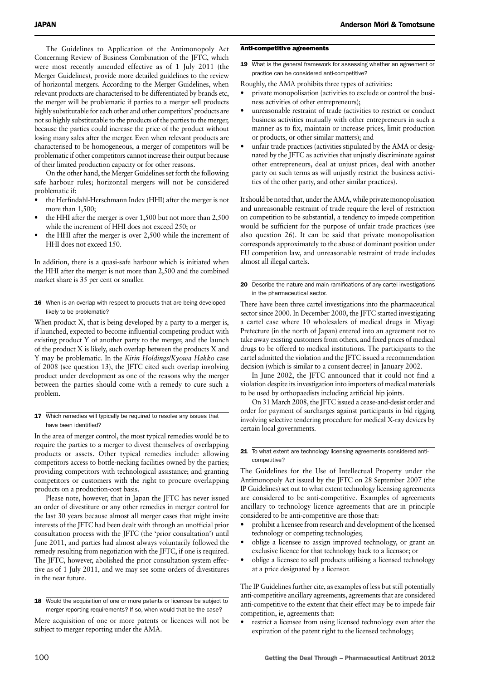The Guidelines to Application of the Antimonopoly Act Concerning Review of Business Combination of the JFTC, which were most recently amended effective as of 1 July 2011 (the Merger Guidelines), provide more detailed guidelines to the review of horizontal mergers. According to the Merger Guidelines, when relevant products are characterised to be differentiated by brands etc, the merger will be problematic if parties to a merger sell products highly substitutable for each other and other competitors' products are not so highly substitutable to the products of the parties to the merger, because the parties could increase the price of the product without losing many sales after the merger. Even when relevant products are characterised to be homogeneous, a merger of competitors will be problematic if other competitors cannot increase their output because of their limited production capacity or for other reasons.

On the other hand, the Merger Guidelines set forth the following safe harbour rules; horizontal mergers will not be considered problematic if:

- the Herfindahl-Herschmann Index (HHI) after the merger is not more than 1,500;
- the HHI after the merger is over  $1,500$  but not more than  $2,500$ while the increment of HHI does not exceed 250; or
- the HHI after the merger is over 2,500 while the increment of HHI does not exceed 150.

In addition, there is a quasi-safe harbour which is initiated when the HHI after the merger is not more than 2,500 and the combined market share is 35 per cent or smaller.

#### 16 When is an overlap with respect to products that are being developed likely to be problematic?

When product X, that is being developed by a party to a merger is, if launched, expected to become influential competing product with existing product Y of another party to the merger, and the launch of the product X is likely, such overlap between the products X and Y may be problematic. In the *Kirin Holdings/Kyowa Hakko* case of 2008 (see question 13), the JFTC cited such overlap involving product under development as one of the reasons why the merger between the parties should come with a remedy to cure such a problem.

17 Which remedies will typically be required to resolve any issues that have been identified?

In the area of merger control, the most typical remedies would be to require the parties to a merger to divest themselves of overlapping products or assets. Other typical remedies include: allowing competitors access to bottle-necking facilities owned by the parties; providing competitors with technological assistance; and granting competitors or customers with the right to procure overlapping products on a production-cost basis.

Please note, however, that in Japan the JFTC has never issued an order of divestiture or any other remedies in merger control for the last 30 years because almost all merger cases that might invite interests of the JFTC had been dealt with through an unofficial prior consultation process with the JFTC (the 'prior consultation') until June 2011, and parties had almost always voluntarily followed the remedy resulting from negotiation with the JFTC, if one is required. The JFTC, however, abolished the prior consultation system effective as of 1 July 2011, and we may see some orders of divestitures in the near future.

#### Anti-competitive agreements

19 What is the general framework for assessing whether an agreement or practice can be considered anti-competitive?

Roughly, the AMA prohibits three types of activities:

- private monopolisation (activities to exclude or control the business activities of other entrepreneurs);
- unreasonable restraint of trade (activities to restrict or conduct business activities mutually with other entrepreneurs in such a manner as to fix, maintain or increase prices, limit production or products, or other similar matters); and
- unfair trade practices (activities stipulated by the AMA or designated by the JFTC as activities that unjustly discriminate against other entrepreneurs, deal at unjust prices, deal with another party on such terms as will unjustly restrict the business activities of the other party, and other similar practices).

It should be noted that, under the AMA, while private monopolisation and unreasonable restraint of trade require the level of restriction on competition to be substantial, a tendency to impede competition would be sufficient for the purpose of unfair trade practices (see also question 26). It can be said that private monopolisation corresponds approximately to the abuse of dominant position under EU competition law, and unreasonable restraint of trade includes almost all illegal cartels.

#### 20 Describe the nature and main ramifications of any cartel investigations in the pharmaceutical sector.

There have been three cartel investigations into the pharmaceutical sector since 2000. In December 2000, the JFTC started investigating a cartel case where 10 wholesalers of medical drugs in Miyagi Prefecture (in the north of Japan) entered into an agreement not to take away existing customers from others, and fixed prices of medical drugs to be offered to medical institutions. The participants to the cartel admitted the violation and the JFTC issued a recommendation decision (which is similar to a consent decree) in January 2002.

In June 2002, the JFTC announced that it could not find a violation despite its investigation into importers of medical materials to be used by orthopaedists including artificial hip joints.

On 31 March 2008, the JFTC issued a cease-and-desist order and order for payment of surcharges against participants in bid rigging involving selective tendering procedure for medical X-ray devices by certain local governments.

#### 21 To what extent are technology licensing agreements considered anticompetitive?

The Guidelines for the Use of Intellectual Property under the Antimonopoly Act issued by the JFTC on 28 September 2007 (the IP Guidelines) set out to what extent technology licensing agreements are considered to be anti-competitive. Examples of agreements ancillary to technology licence agreements that are in principle considered to be anti-competitive are those that:

- prohibit a licensee from research and development of the licensed technology or competing technologies;
- oblige a licensee to assign improved technology, or grant an exclusive licence for that technology back to a licensor; or
- oblige a licensee to sell products utilising a licensed technology at a price designated by a licensor.

The IP Guidelines further cite, as examples of less but still potentially anti-competitive ancillary agreements, agreements that are considered anti-competitive to the extent that their effect may be to impede fair competition, ie, agreements that:

restrict a licensee from using licensed technology even after the expiration of the patent right to the licensed technology;

<sup>18</sup> Would the acquisition of one or more patents or licences be subject to merger reporting requirements? If so, when would that be the case?

Mere acquisition of one or more patents or licences will not be subject to merger reporting under the AMA.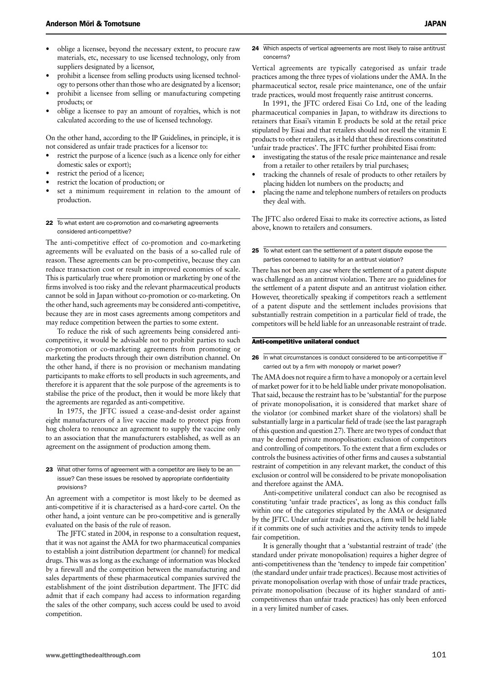- oblige a licensee, beyond the necessary extent, to procure raw materials, etc, necessary to use licensed technology, only from suppliers designated by a licensor,
- prohibit a licensee from selling products using licensed technology to persons other than those who are designated by a licensor;
- prohibit a licensee from selling or manufacturing competing products; or
- oblige a licensee to pay an amount of royalties, which is not calculated according to the use of licensed technology.

On the other hand, according to the IP Guidelines, in principle, it is not considered as unfair trade practices for a licensor to:

- restrict the purpose of a licence (such as a licence only for either domestic sales or export);
- restrict the period of a licence;
- restrict the location of production; or
- set a minimum requirement in relation to the amount of production.

#### 22 To what extent are co-promotion and co-marketing agreements considered anti-competitive?

The anti-competitive effect of co-promotion and co-marketing agreements will be evaluated on the basis of a so-called rule of reason. These agreements can be pro-competitive, because they can reduce transaction cost or result in improved economies of scale. This is particularly true where promotion or marketing by one of the firms involved is too risky and the relevant pharmaceutical products cannot be sold in Japan without co-promotion or co-marketing. On the other hand, such agreements may be considered anti-competitive, because they are in most cases agreements among competitors and may reduce competition between the parties to some extent.

To reduce the risk of such agreements being considered anticompetitive, it would be advisable not to prohibit parties to such co-promotion or co-marketing agreements from promoting or marketing the products through their own distribution channel. On the other hand, if there is no provision or mechanism mandating participants to make efforts to sell products in such agreements, and therefore it is apparent that the sole purpose of the agreements is to stabilise the price of the product, then it would be more likely that the agreements are regarded as anti-competitive.

In 1975, the JFTC issued a cease-and-desist order against eight manufacturers of a live vaccine made to protect pigs from hog cholera to renounce an agreement to supply the vaccine only to an association that the manufacturers established, as well as an agreement on the assignment of production among them.

#### 23 What other forms of agreement with a competitor are likely to be an issue? Can these issues be resolved by appropriate confidentiality provisions?

An agreement with a competitor is most likely to be deemed as anti-competitive if it is characterised as a hard-core cartel. On the other hand, a joint venture can be pro-competitive and is generally evaluated on the basis of the rule of reason.

The JFTC stated in 2004, in response to a consultation request, that it was not against the AMA for two pharmaceutical companies to establish a joint distribution department (or channel) for medical drugs. This was as long as the exchange of information was blocked by a firewall and the competition between the manufacturing and sales departments of these pharmaceutical companies survived the establishment of the joint distribution department. The JFTC did admit that if each company had access to information regarding the sales of the other company, such access could be used to avoid competition.

24 Which aspects of vertical agreements are most likely to raise antitrust concerns?

Vertical agreements are typically categorised as unfair trade practices among the three types of violations under the AMA. In the pharmaceutical sector, resale price maintenance, one of the unfair trade practices, would most frequently raise antitrust concerns.

In 1991, the JFTC ordered Eisai Co Ltd, one of the leading pharmaceutical companies in Japan, to withdraw its directions to retainers that Eisai's vitamin E products be sold at the retail price stipulated by Eisai and that retailers should not resell the vitamin E products to other retailers, as it held that these directions constituted 'unfair trade practices'. The JFTC further prohibited Eisai from:

- investigating the status of the resale price maintenance and resale from a retailer to other retailers by trial purchases;
- tracking the channels of resale of products to other retailers by placing hidden lot numbers on the products; and
- placing the name and telephone numbers of retailers on products they deal with.

The JFTC also ordered Eisai to make its corrective actions, as listed above, known to retailers and consumers.

25 To what extent can the settlement of a patent dispute expose the parties concerned to liability for an antitrust violation?

There has not been any case where the settlement of a patent dispute was challenged as an antitrust violation. There are no guidelines for the settlement of a patent dispute and an antitrust violation either. However, theoretically speaking if competitors reach a settlement of a patent dispute and the settlement includes provisions that substantially restrain competition in a particular field of trade, the competitors will be held liable for an unreasonable restraint of trade.

#### Anti-competitive unilateral conduct

26 In what circumstances is conduct considered to be anti-competitive if carried out by a firm with monopoly or market power?

The AMA does not require a firm to have a monopoly or a certain level of market power for it to be held liable under private monopolisation. That said, because the restraint has to be 'substantial' for the purpose of private monopolisation, it is considered that market share of the violator (or combined market share of the violators) shall be substantially large in a particular field of trade (see the last paragraph of this question and question 27). There are two types of conduct that may be deemed private monopolisation: exclusion of competitors and controlling of competitors. To the extent that a firm excludes or controls the business activities of other firms and causes a substantial restraint of competition in any relevant market, the conduct of this exclusion or control will be considered to be private monopolisation and therefore against the AMA.

Anti-competitive unilateral conduct can also be recognised as constituting 'unfair trade practices', as long as this conduct falls within one of the categories stipulated by the AMA or designated by the JFTC. Under unfair trade practices, a firm will be held liable if it commits one of such activities and the activity tends to impede fair competition.

It is generally thought that a 'substantial restraint of trade' (the standard under private monopolisation) requires a higher degree of anti-competitiveness than the 'tendency to impede fair competition' (the standard under unfair trade practices). Because most activities of private monopolisation overlap with those of unfair trade practices, private monopolisation (because of its higher standard of anticompetitiveness than unfair trade practices) has only been enforced in a very limited number of cases.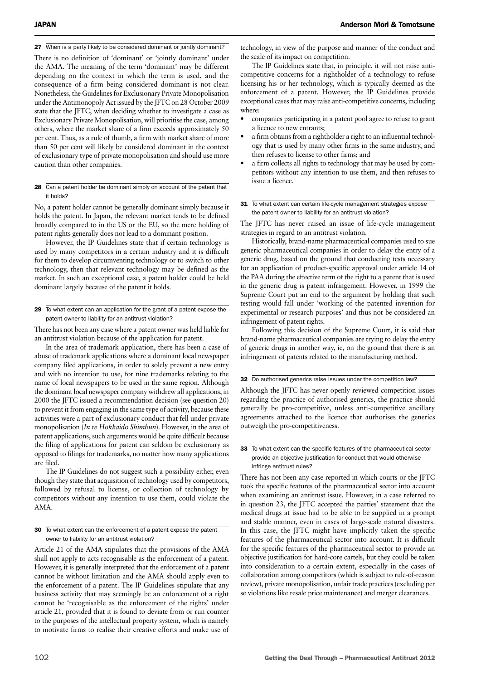27 When is a party likely to be considered dominant or jointly dominant?

There is no definition of 'dominant' or 'jointly dominant' under the AMA. The meaning of the term 'dominant' may be different depending on the context in which the term is used, and the consequence of a firm being considered dominant is not clear. Nonetheless, the Guidelines for Exclusionary Private Monopolisation under the Antimonopoly Act issued by the JFTC on 28 October 2009 state that the JFTC, when deciding whether to investigate a case as Exclusionary Private Monopolisation, will prioritise the case, among others, where the market share of a firm exceeds approximately 50 per cent. Thus, as a rule of thumb, a firm with market share of more than 50 per cent will likely be considered dominant in the context of exclusionary type of private monopolisation and should use more caution than other companies.

#### 28 Can a patent holder be dominant simply on account of the patent that it holds?

No, a patent holder cannot be generally dominant simply because it holds the patent. In Japan, the relevant market tends to be defined broadly compared to in the US or the EU, so the mere holding of patent rights generally does not lead to a dominant position.

However, the IP Guidelines state that if certain technology is used by many competitors in a certain industry and it is difficult for them to develop circumventing technology or to switch to other technology, then that relevant technology may be defined as the market. In such an exceptional case, a patent holder could be held dominant largely because of the patent it holds.

#### 29 To what extent can an application for the grant of a patent expose the patent owner to liability for an antitrust violation?

There has not been any case where a patent owner was held liable for an antitrust violation because of the application for patent.

In the area of trademark application, there has been a case of abuse of trademark applications where a dominant local newspaper company filed applications, in order to solely prevent a new entry and with no intention to use, for nine trademarks relating to the name of local newspapers to be used in the same region. Although the dominant local newspaper company withdrew all applications, in 2000 the JFTC issued a recommendation decision (see question 20) to prevent it from engaging in the same type of activity, because these activities were a part of exclusionary conduct that fell under private monopolisation (*In re Hokkaido Shimbun*). However, in the area of patent applications, such arguments would be quite difficult because the filing of applications for patent can seldom be exclusionary as opposed to filings for trademarks, no matter how many applications are filed.

The IP Guidelines do not suggest such a possibility either, even though they state that acquisition of technology used by competitors, followed by refusal to license, or collection of technology by competitors without any intention to use them, could violate the AMA.

30 To what extent can the enforcement of a patent expose the patent owner to liability for an antitrust violation?

Article 21 of the AMA stipulates that the provisions of the AMA shall not apply to acts recognisable as the enforcement of a patent. However, it is generally interpreted that the enforcement of a patent cannot be without limitation and the AMA should apply even to the enforcement of a patent. The IP Guidelines stipulate that any business activity that may seemingly be an enforcement of a right cannot be 'recognisable as the enforcement of the rights' under article 21, provided that it is found to deviate from or run counter to the purposes of the intellectual property system, which is namely to motivate firms to realise their creative efforts and make use of

technology, in view of the purpose and manner of the conduct and the scale of its impact on competition.

The IP Guidelines state that, in principle, it will not raise anticompetitive concerns for a rightholder of a technology to refuse licensing his or her technology, which is typically deemed as the enforcement of a patent. However, the IP Guidelines provide exceptional cases that may raise anti-competitive concerns, including where:

- • companies participating in a patent pool agree to refuse to grant a licence to new entrants;
- a firm obtains from a rightholder a right to an influential technology that is used by many other firms in the same industry, and then refuses to license to other firms; and
- a firm collects all rights to technology that may be used by competitors without any intention to use them, and then refuses to issue a licence.

#### 31 To what extent can certain life-cycle management strategies expose the patent owner to liability for an antitrust violation?

The JFTC has never raised an issue of life-cycle management strategies in regard to an antitrust violation.

Historically, brand-name pharmaceutical companies used to sue generic pharmaceutical companies in order to delay the entry of a generic drug, based on the ground that conducting tests necessary for an application of product-specific approval under article 14 of the PAA during the effective term of the right to a patent that is used in the generic drug is patent infringement. However, in 1999 the Supreme Court put an end to the argument by holding that such testing would fall under 'working of the patented invention for experimental or research purposes' and thus not be considered an infringement of patent rights.

Following this decision of the Supreme Court, it is said that brand-name pharmaceutical companies are trying to delay the entry of generic drugs in another way, ie, on the ground that there is an infringement of patents related to the manufacturing method.

#### 32 Do authorised generics raise issues under the competition law?

Although the JFTC has never openly reviewed competition issues regarding the practice of authorised generics, the practice should generally be pro-competitive, unless anti-competitive ancillary agreements attached to the licence that authorises the generics outweigh the pro-competitiveness.

#### 33 To what extent can the specific features of the pharmaceutical sector provide an objective justification for conduct that would otherwise infringe antitrust rules?

There has not been any case reported in which courts or the JFTC took the specific features of the pharmaceutical sector into account when examining an antitrust issue. However, in a case referred to in question 23, the JFTC accepted the parties' statement that the medical drugs at issue had to be able to be supplied in a prompt and stable manner, even in cases of large-scale natural disasters. In this case, the JFTC might have implicitly taken the specific features of the pharmaceutical sector into account. It is difficult for the specific features of the pharmaceutical sector to provide an objective justification for hard-core cartels, but they could be taken into consideration to a certain extent, especially in the cases of collaboration among competitors (which is subject to rule-of-reason review), private monopolisation, unfair trade practices (excluding per se violations like resale price maintenance) and merger clearances.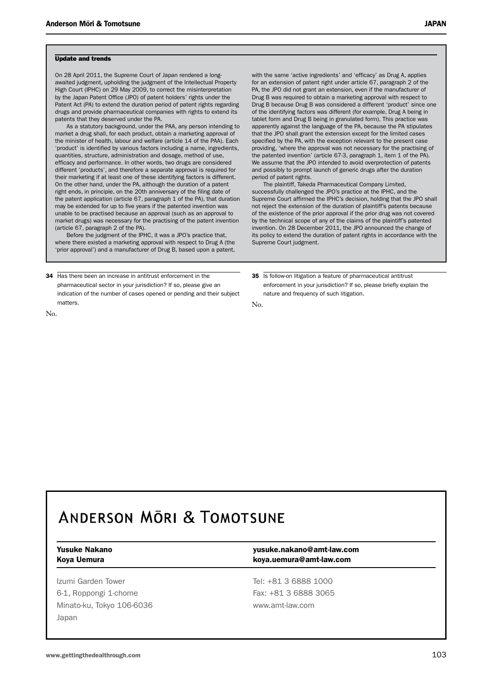#### Update and trends

On 28 April 2011, the Supreme Court of Japan rendered a longawaited judgment, upholding the judgment of the Intellectual Property High Court (IPHC) on 29 May 2009, to correct the misinterpretation by the Japan Patent Office (JPO) of patent holders' rights under the Patent Act (PA) to extend the duration period of patent rights regarding drugs and provide pharmaceutical companies with rights to extend its patents that they deserved under the PA.

As a statutory background, under the PAA, any person intending to market a drug shall, for each product, obtain a marketing approval of the minister of health, labour and welfare (article 14 of the PAA). Each 'product' is identified by various factors including a name, ingredients, quantities, structure, administration and dosage, method of use, efficacy and performance. In other words, two drugs are considered different 'products', and therefore a separate approval is required for their marketing if at least one of these identifying factors is different. On the other hand, under the PA, although the duration of a patent right ends, in principle, on the 20th anniversary of the filing date of the patent application (article 67, paragraph 1 of the PA), that duration may be extended for up to five years if the patented invention was unable to be practised because an approval (such as an approval to market drugs) was necessary for the practising of the patent invention (article 67, paragraph 2 of the PA).

Before the judgment of the IPHC, it was a JPO's practice that, where there existed a marketing approval with respect to Drug A (the 'prior approval') and a manufacturer of Drug B, based upon a patent,

34 Has there been an increase in antitrust enforcement in the pharmaceutical sector in your jurisdiction? If so, please give an indication of the number of cases opened or pending and their subject matters.

with the same 'active ingredients' and 'efficacy' as Drug A, applies for an extension of patent right under article 67, paragraph 2 of the PA, the JPO did not grant an extension, even if the manufacturer of Drug B was required to obtain a marketing approval with respect to Drug B because Drug B was considered a different 'product' since one of the identifying factors was different (for example, Drug A being in tablet form and Drug B being in granulated form). This practice was apparently against the language of the PA, because the PA stipulates that the JPO shall grant the extension except for the limited cases specified by the PA, with the exception relevant to the present case providing, 'where the approval was not necessary for the practising of the patented invention' (article 67-3, paragraph 1, item 1 of the PA). We assume that the JPO intended to avoid overprotection of patents and possibly to prompt launch of generic drugs after the duration period of patent rights.

The plaintiff, Takeda Pharmaceutical Company Limited, successfully challenged the JPO's practice at the IPHC, and the Supreme Court affirmed the IPHC's decision, holding that the JPO shall not reject the extension of the duration of plaintiff's patents because of the existence of the prior approval if the prior drug was not covered by the technical scope of any of the claims of the plaintiff's patented invention. On 28 December 2011, the JPO announced the change of its policy to extend the duration of patent rights in accordance with the Supreme Court judgment.

35 Is follow-on litigation a feature of pharmaceutical antitrust enforcement in your jurisdiction? If so, please briefly explain the nature and frequency of such litigation.

 $N_{\Omega}$ 

## **ANDERSON MORI & TOMOTSUNE**

No.

Izumi Garden Tower Tel: +81 3 6888 1000 6-1, Roppongi 1-chome Fax: +81 3 6888 3065 Minato-ku, Tokyo 106-6036 www.amt-law.com Japan

#### Yusuke Nakano yusuke.nakano@amt-law.com Koya Uemura **koya.uemura@amt-law.com**